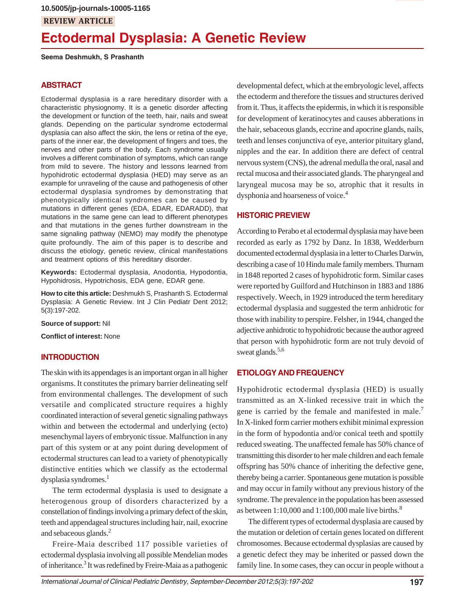# **Ectodermal Dysplasia: A Genetic Review**

**Seema Deshmukh, S Prashanth**

## **ABSTRACT**

Ectodermal dysplasia is a rare hereditary disorder with a characteristic physiognomy. It is a genetic disorder affecting the development or function of the teeth, hair, nails and sweat glands. Depending on the particular syndrome ectodermal dysplasia can also affect the skin, the lens or retina of the eye, parts of the inner ear, the development of fingers and toes, the nerves and other parts of the body. Each syndrome usually involves a different combination of symptoms, which can range from mild to severe. The history and lessons learned from hypohidrotic ectodermal dysplasia (HED) may serve as an example for unraveling of the cause and pathogenesis of other ectodermal dysplasia syndromes by demonstrating that phenotypically identical syndromes can be caused by mutations in different genes (EDA, EDAR, EDARADD), that mutations in the same gene can lead to different phenotypes and that mutations in the genes further downstream in the same signaling pathway (NEMO) may modify the phenotype quite profoundly. The aim of this paper is to describe and discuss the etiology, genetic review, clinical manifestations and treatment options of this hereditary disorder.

**Keywords:** Ectodermal dysplasia, Anodontia, Hypodontia, Hypohidrosis, Hypotrichosis, EDA gene, EDAR gene.

**How to cite this article:** Deshmukh S, Prashanth S. Ectodermal Dysplasia: A Genetic Review. Int J Clin Pediatr Dent 2012; 5(3):197-202.

**Source of support:** Nil

**Conflict of interest:** None

#### **INTRODUCTION**

The skin with its appendages is an important organ in all higher organisms. It constitutes the primary barrier delineating self from environmental challenges. The development of such versatile and complicated structure requires a highly coordinated interaction of several genetic signaling pathways within and between the ectodermal and underlying (ecto) mesenchymal layers of embryonic tissue. Malfunction in any part of this system or at any point during development of ectodermal structures can lead to a variety of phenotypically distinctive entities which we classify as the ectodermal dysplasia syndromes.<sup>1</sup>

The term ectodermal dysplasia is used to designate a heterogenous group of disorders characterized by a constellation of findings involving a primary defect of the skin, teeth and appendageal structures including hair, nail, exocrine and sebaceous glands.2

Freire-Maia described 117 possible varieties of ectodermal dysplasia involving all possible Mendelian modes of inheritance.<sup>3</sup> It was redefined by Freire-Maia as a pathogenic

developmental defect, which at the embryologic level, affects the ectoderm and therefore the tissues and structures derived from it. Thus, it affects the epidermis, in which it is responsible for development of keratinocytes and causes abberations in the hair, sebaceous glands, eccrine and apocrine glands, nails, teeth and lenses conjunctiva of eye, anterior pituitary gland, nipples and the ear. In addition there are defect of central nervous system (CNS), the adrenal medulla the oral, nasal and rectal mucosa and their associated glands. The pharyngeal and laryngeal mucosa may be so, atrophic that it results in dysphonia and hoarseness of voice.<sup>4</sup>

## **HISTORIC PREVIEW**

According to Perabo et al ectodermal dysplasia may have been recorded as early as 1792 by Danz. In 1838, Wedderburn documented ectodermal dysplasia in a letter to Charles Darwin, describing a case of 10 Hindu male family members. Thurnam in 1848 reported 2 cases of hypohidrotic form. Similar cases were reported by Guilford and Hutchinson in 1883 and 1886 respectively. Weech, in 1929 introduced the term hereditary ectodermal dysplasia and suggested the term anhidrotic for those with inability to perspire. Felsher, in 1944, changed the adjective anhidrotic to hypohidrotic because the author agreed that person with hypohidrotic form are not truly devoid of sweat glands.<sup>5,6</sup>

#### **ETIOLOGY AND FREQUENCY**

Hypohidrotic ectodermal dysplasia (HED) is usually transmitted as an X-linked recessive trait in which the gene is carried by the female and manifested in male.<sup>7</sup> In X-linked form carrier mothers exhibit minimal expression in the form of hypodontia and/or conical teeth and spottily reduced sweating. The unaffected female has 50% chance of transmitting this disorder to her male children and each female offspring has 50% chance of inheriting the defective gene, thereby being a carrier. Spontaneous gene mutation is possible and may occur in family without any previous history of the syndrome. The prevalence in the population has been assessed as between  $1:10,000$  and  $1:100,000$  male live births.<sup>8</sup>

The different types of ectodermal dysplasia are caused by the mutation or deletion of certain genes located on different chromosomes. Because ectodermal dysplasias are caused by a genetic defect they may be inherited or passed down the family line. In some cases, they can occur in people without a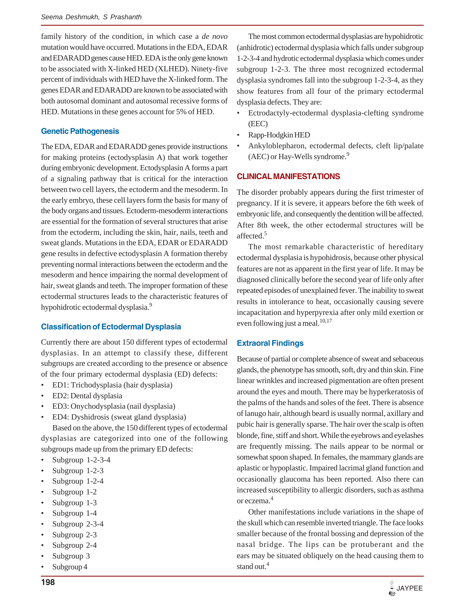family history of the condition, in which case a *de novo* mutation would have occurred. Mutations in the EDA, EDAR and EDARADD genes cause HED. EDA is the only gene known to be associated with X-linked HED (XLHED). Ninety-five percent of individuals with HED have the X-linked form. The genes EDAR and EDARADD are known to be associated with both autosomal dominant and autosomal recessive forms of HED. Mutations in these genes account for 5% of HED.

#### **Genetic Pathogenesis**

The EDA, EDAR and EDARADD genes provide instructions for making proteins (ectodysplasin A) that work together during embryonic development. Ectodysplasin A forms a part of a signaling pathway that is critical for the interaction between two cell layers, the ectoderm and the mesoderm. In the early embryo, these cell layers form the basis for many of the body organs and tissues. Ectoderm-mesoderm interactions are essential for the formation of several structures that arise from the ectoderm, including the skin, hair, nails, teeth and sweat glands. Mutations in the EDA, EDAR or EDARADD gene results in defective ectodysplasin A formation thereby preventing normal interactions between the ectoderm and the mesoderm and hence impairing the normal development of hair, sweat glands and teeth. The improper formation of these ectodermal structures leads to the characteristic features of hypohidrotic ectodermal dysplasia.9

#### **Classification of Ectodermal Dysplasia**

Currently there are about 150 different types of ectodermal dysplasias. In an attempt to classify these, different subgroups are created according to the presence or absence of the four primary ectodermal dysplasia (ED) defects:

- ED1: Trichodysplasia (hair dysplasia)
- ED2: Dental dysplasia
- ED3: Onychodysplasia (nail dysplasia)
- ED4: Dyshidrosis (sweat gland dysplasia)

Based on the above, the 150 different types of ectodermal dysplasias are categorized into one of the following subgroups made up from the primary ED defects:

- Subgroup 1-2-3-4
- Subgroup 1-2-3
- Subgroup 1-2-4
- Subgroup 1-2
- Subgroup 1-3
- Subgroup 1-4
- Subgroup 2-3-4
- Subgroup 2-3
- Subgroup 2-4
- Subgroup 3
- Subgroup 4

The most common ectodermal dysplasias are hypohidrotic (anhidrotic) ectodermal dysplasia which falls under subgroup 1-2-3-4 and hydrotic ectodermal dysplasia which comes under subgroup 1-2-3. The three most recognized ectodermal dysplasia syndromes fall into the subgroup 1-2-3-4, as they show features from all four of the primary ectodermal dysplasia defects. They are:

- Ectrodactyly-ectodermal dysplasia-clefting syndrome (EEC)
- Rapp-Hodgkin HED
- Ankyloblepharon, ectodermal defects, cleft lip/palate (AEC) or Hay-Wells syndrome.<sup>9</sup>

#### **CLINICAL MANIFESTATIONS**

The disorder probably appears during the first trimester of pregnancy. If it is severe, it appears before the 6th week of embryonic life, and consequently the dentition will be affected. After 8th week, the other ectodermal structures will be affected.<sup>5</sup>

The most remarkable characteristic of hereditary ectodermal dysplasia is hypohidrosis, because other physical features are not as apparent in the first year of life. It may be diagnosed clinically before the second year of life only after repeated episodes of unexplained fever. The inability to sweat results in intolerance to heat, occasionally causing severe incapacitation and hyperpyrexia after only mild exertion or even following just a meal.<sup>10,17</sup>

## **Extraoral Findings**

Because of partial or complete absence of sweat and sebaceous glands, the phenotype has smooth, soft, dry and thin skin. Fine linear wrinkles and increased pigmentation are often present around the eyes and mouth. There may be hyperkeratosis of the palms of the hands and soles of the feet. There is absence of lanugo hair, although beard is usually normal, axillary and pubic hair is generally sparse. The hair over the scalp is often blonde, fine, stiff and short. While the eyebrows and eyelashes are frequently missing. The nails appear to be normal or somewhat spoon shaped. In females, the mammary glands are aplastic or hypoplastic. Impaired lacrimal gland function and occasionally glaucoma has been reported. Also there can increased susceptibility to allergic disorders, such as asthma or eczema.4

Other manifestations include variations in the shape of the skull which can resemble inverted triangle. The face looks smaller because of the frontal bossing and depression of the nasal bridge. The lips can be protuberant and the ears may be situated obliquely on the head causing them to stand out.<sup>4</sup>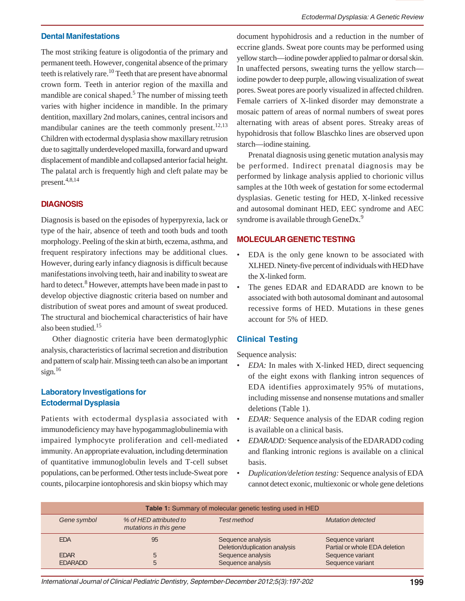#### **Dental Manifestations**

The most striking feature is oligodontia of the primary and permanent teeth. However, congenital absence of the primary teeth is relatively rare.<sup>10</sup> Teeth that are present have abnormal crown form. Teeth in anterior region of the maxilla and mandible are conical shaped.<sup>5</sup> The number of missing teeth varies with higher incidence in mandible. In the primary dentition, maxillary 2nd molars, canines, central incisors and mandibular canines are the teeth commonly present.<sup>12,13</sup> Children with ectodermal dysplasia show maxillary retrusion due to sagittally underdeveloped maxilla, forward and upward displacement of mandible and collapsed anterior facial height. The palatal arch is frequently high and cleft palate may be present.4,8,14

#### **DIAGNOSIS**

Diagnosis is based on the episodes of hyperpyrexia, lack or type of the hair, absence of teeth and tooth buds and tooth morphology. Peeling of the skin at birth, eczema, asthma, and frequent respiratory infections may be additional clues. However, during early infancy diagnosis is difficult because manifestations involving teeth, hair and inability to sweat are hard to detect.<sup>8</sup> However, attempts have been made in past to develop objective diagnostic criteria based on number and distribution of sweat pores and amount of sweat produced. The structural and biochemical characteristics of hair have also been studied.<sup>15</sup>

Other diagnostic criteria have been dermatoglyphic analysis, characteristics of lacrimal secretion and distribution and pattern of scalp hair. Missing teeth can also be an important sign. $16$ 

## **Laboratory Investigations for Ectodermal Dysplasia**

Patients with ectodermal dysplasia associated with immunodeficiency may have hypogammaglobulinemia with impaired lymphocyte proliferation and cell-mediated immunity. An appropriate evaluation, including determination of quantitative immunoglobulin levels and T-cell subset populations, can be performed. Other tests include-Sweat pore counts, pilocarpine iontophoresis and skin biopsy which may

document hypohidrosis and a reduction in the number of eccrine glands. Sweat pore counts may be performed using yellow starch—iodine powder applied to palmar or dorsal skin. In unaffected persons, sweating turns the yellow starch iodine powder to deep purple, allowing visualization of sweat pores. Sweat pores are poorly visualized in affected children. Female carriers of X-linked disorder may demonstrate a mosaic pattern of areas of normal numbers of sweat pores alternating with areas of absent pores. Streaky areas of hypohidrosis that follow Blaschko lines are observed upon starch—iodine staining.

Prenatal diagnosis using genetic mutation analysis may be performed. Indirect prenatal diagnosis may be performed by linkage analysis applied to chorionic villus samples at the 10th week of gestation for some ectodermal dysplasias. Genetic testing for HED, X-linked recessive and autosomal dominant HED, EEC syndrome and AEC syndrome is available through GeneDx.<sup>9</sup>

## **MOLECULAR GENETIC TESTING**

- EDA is the only gene known to be associated with XLHED. Ninety-five percent of individuals with HED have the X-linked form.
- The genes EDAR and EDARADD are known to be associated with both autosomal dominant and autosomal recessive forms of HED. Mutations in these genes account for 5% of HED.

#### **Clinical Testing**

Sequence analysis:

- *EDA:* In males with X-linked HED, direct sequencing of the eight exons with flanking intron sequences of EDA identifies approximately 95% of mutations, including missense and nonsense mutations and smaller deletions (Table 1).
- *EDAR:* Sequence analysis of the EDAR coding region is available on a clinical basis.
- *EDARADD:* Sequence analysis of the EDARADD coding and flanking intronic regions is available on a clinical basis.
- *Duplication/deletion testing:* Sequence analysis of EDA cannot detect exonic, multiexonic or whole gene deletions

| Table 1: Summary of molecular genetic testing used in HED |                                                  |                                                    |                                                   |
|-----------------------------------------------------------|--------------------------------------------------|----------------------------------------------------|---------------------------------------------------|
| Gene symbol                                               | % of HED attributed to<br>mutations in this gene | <b>Test method</b>                                 | <b>Mutation detected</b>                          |
| <b>EDA</b>                                                | 95                                               | Sequence analysis<br>Deletion/duplication analysis | Sequence variant<br>Partial or whole EDA deletion |
| <b>EDAR</b>                                               | 5                                                | Sequence analysis                                  | Sequence variant                                  |
| <b>EDARADD</b>                                            |                                                  | Sequence analysis                                  | Sequence variant                                  |

*International Journal of Clinical Pediatric Dentistry, September-December 2012;5(3):197-202* **199**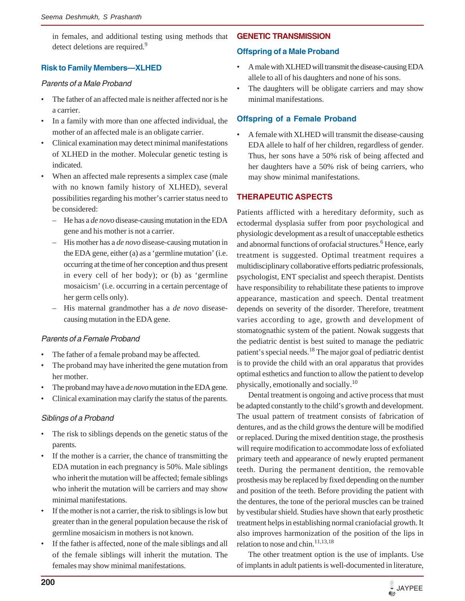in females, and additional testing using methods that detect deletions are required.<sup>9</sup>

## **Risk to Family Members—XLHED**

#### *Parents of a Male Proband*

- The father of an affected male is neither affected nor is he a carrier.
- In a family with more than one affected individual, the mother of an affected male is an obligate carrier.
- Clinical examination may detect minimal manifestations of XLHED in the mother. Molecular genetic testing is indicated.
- When an affected male represents a simplex case (male with no known family history of XLHED), several possibilities regarding his mother's carrier status need to be considered:
	- He has a *de novo* disease-causing mutation in the EDA gene and his mother is not a carrier.
	- His mother has a *de novo* disease-causing mutation in the EDA gene, either (a) as a 'germline mutation' (i.e. occurring at the time of her conception and thus present in every cell of her body); or (b) as 'germline mosaicism' (i.e. occurring in a certain percentage of her germ cells only).
	- His maternal grandmother has a *de novo* diseasecausing mutation in the EDA gene.

#### *Parents of a Female Proband*

- The father of a female proband may be affected.
- The proband may have inherited the gene mutation from her mother.
- The proband may have a *de novo* mutation in the EDA gene.
- Clinical examination may clarify the status of the parents.

#### *Siblings of a Proband*

- The risk to siblings depends on the genetic status of the parents.
- If the mother is a carrier, the chance of transmitting the EDA mutation in each pregnancy is 50%. Male siblings who inherit the mutation will be affected; female siblings who inherit the mutation will be carriers and may show minimal manifestations.
- If the mother is not a carrier, the risk to siblings is low but greater than in the general population because the risk of germline mosaicism in mothers is not known.
- If the father is affected, none of the male siblings and all of the female siblings will inherit the mutation. The females may show minimal manifestations.

#### **GENETIC TRANSMISSION**

#### **Offspring of a Male Proband**

- A male with XLHED will transmit the disease-causing EDA allele to all of his daughters and none of his sons.
- The daughters will be obligate carriers and may show minimal manifestations.

# **Offspring of a Female Proband**

• A female with XLHED will transmit the disease-causing EDA allele to half of her children, regardless of gender. Thus, her sons have a 50% risk of being affected and her daughters have a 50% risk of being carriers, who may show minimal manifestations.

## **THERAPEUTIC ASPECTS**

Patients afflicted with a hereditary deformity, such as ectodermal dysplasia suffer from poor psychological and physiologic development as a result of unacceptable esthetics and abnormal functions of orofacial structures.<sup>6</sup> Hence, early treatment is suggested. Optimal treatment requires a multidisciplinary collaborative efforts pediatric professionals, psychologist, ENT specialist and speech therapist. Dentists have responsibility to rehabilitate these patients to improve appearance, mastication and speech. Dental treatment depends on severity of the disorder. Therefore, treatment varies according to age, growth and development of stomatognathic system of the patient. Nowak suggests that the pediatric dentist is best suited to manage the pediatric patient's special needs.18 The major goal of pediatric dentist is to provide the child with an oral apparatus that provides optimal esthetics and function to allow the patient to develop physically, emotionally and socially.<sup>10</sup>

Dental treatment is ongoing and active process that must be adapted constantly to the child's growth and development. The usual pattern of treatment consists of fabrication of dentures, and as the child grows the denture will be modified or replaced. During the mixed dentition stage, the prosthesis will require modification to accommodate loss of exfoliated primary teeth and appearance of newly erupted permanent teeth. During the permanent dentition, the removable prosthesis may be replaced by fixed depending on the number and position of the teeth. Before providing the patient with the dentures, the tone of the perioral muscles can be trained by vestibular shield. Studies have shown that early prosthetic treatment helps in establishing normal craniofacial growth. It also improves harmonization of the position of the lips in relation to nose and chin  $11,13,18$ 

The other treatment option is the use of implants. Use of implants in adult patients is well-documented in literature,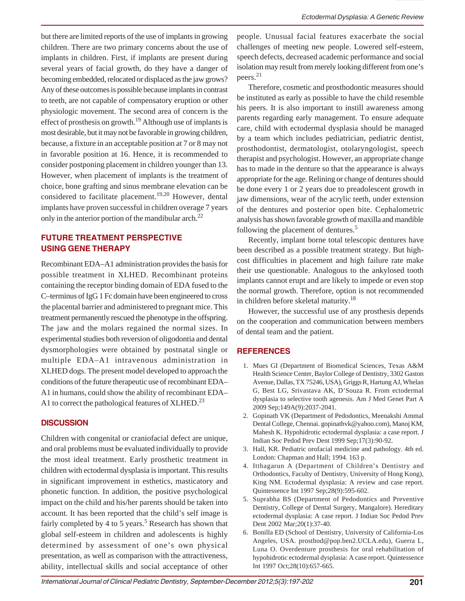but there are limited reports of the use of implants in growing children. There are two primary concerns about the use of implants in children. First, if implants are present during several years of facial growth, do they have a danger of becoming embedded, relocated or displaced as the jaw grows? Any of these outcomes is possible because implants in contrast to teeth, are not capable of compensatory eruption or other physiologic movement. The second area of concern is the effect of prosthesis on growth.<sup>19</sup> Although use of implants is most desirable, but it may not be favorable in growing children, because, a fixture in an acceptable position at 7 or 8 may not in favorable position at 16. Hence, it is recommended to consider postponing placement in children younger than 13. However, when placement of implants is the treatment of choice, bone grafting and sinus membrane elevation can be considered to facilitate placement.<sup>19,20</sup> However, dental implants have proven successful in children overage 7 years only in the anterior portion of the mandibular arch.<sup>22</sup>

# **FUTURE TREATMENT PERSPECTIVE USING GENE THERAPY**

Recombinant EDA–A1 administration provides the basis for possible treatment in XLHED. Recombinant proteins containing the receptor binding domain of EDA fused to the C–terminus of IgG 1 Fc domain have been engineered to cross the placental barrier and administered to pregnant mice. This treatment permanently rescued the phenotype in the offspring. The jaw and the molars regained the normal sizes. In experimental studies both reversion of oligodontia and dental dysmorphologies were obtained by postnatal single or multiple EDA–A1 intravenous administration in XLHED dogs. The present model developed to approach the conditions of the future therapeutic use of recombinant EDA– A1 in humans, could show the ability of recombinant EDA– A1 to correct the pathological features of XLHED.<sup>23</sup>

#### **DISCUSSION**

Children with congenital or craniofacial defect are unique, and oral problems must be evaluated individually to provide the most ideal treatment. Early prosthetic treatment in children with ectodermal dysplasia is important. This results in significant improvement in esthetics, masticatory and phonetic function. In addition, the positive psychological impact on the child and his/her parents should be taken into account. It has been reported that the child's self image is fairly completed by 4 to 5 years.<sup>5</sup> Research has shown that global self-esteem in children and adolescents is highly determined by assessment of one's own physical presentation, as well as comparison with the attractiveness, ability, intellectual skills and social acceptance of other people. Unusual facial features exacerbate the social challenges of meeting new people. Lowered self-esteem, speech defects, decreased academic performance and social isolation may result from merely looking different from one's peers.<sup>21</sup>

Therefore, cosmetic and prosthodontic measures should be instituted as early as possible to have the child resemble his peers. It is also important to instill awareness among parents regarding early management. To ensure adequate care, child with ectodermal dysplasia should be managed by a team which includes pediatrician, pediatric dentist, prosthodontist, dermatologist, otolaryngologist, speech therapist and psychologist. However, an appropriate change has to made in the denture so that the appearance is always appropriate for the age. Relining or change of dentures should be done every 1 or 2 years due to preadolescent growth in jaw dimensions, wear of the acrylic teeth, under extension of the dentures and posterior open bite. Cephalometric analysis has shown favorable growth of maxilla and mandible following the placement of dentures.<sup>5</sup>

Recently, implant borne total telescopic dentures have been described as a possible treatment strategy. But highcost difficulties in placement and high failure rate make their use questionable. Analogous to the ankylosed tooth implants cannot erupt and are likely to impede or even stop the normal growth. Therefore, option is not recommended in children before skeletal maturity.18

However, the successful use of any prosthesis depends on the cooperation and communication between members of dental team and the patient.

#### **REFERENCES**

- 1. Mues GI (Department of Biomedical Sciences, Texas A&M Health Science Center, Baylor College of Dentistry, 3302 Gaston Avenue, Dallas, TX 75246, USA), Griggs R, Hartung AJ, Whelan G, Best LG, Srivastava AK, D'Souza R. From ectodermal dysplasia to selective tooth agenesis. Am J Med Genet Part A 2009 Sep;149A(9):2037-2041.
- 2. Gopinath VK (Department of Pedodontics, Meenakshi Ammal Dental College, Chennai. gopinathvk@yahoo.com), Manoj KM, Mahesh K. Hypohidrotic ectodermal dysplasia: a case report. J Indian Soc Pedod Prev Dent 1999 Sep;17(3):90-92.
- 3. Hall, KR. Pediatric orofacial medicine and pathology. 4th ed. London: Chapman and Hall; 1994. 163 p.
- 4. Itthagarun A (Department of Children's Dentistry and Orthodontics, Faculty of Dentistry, University of Hong Kong), King NM. Ectodermal dysplasia: A review and case report. Quintessence Int 1997 Sep;28(9):595-602.
- 5. Suprabha BS (Department of Pedodontics and Preventive Dentistry, College of Dental Surgery, Mangalore). Hereditary ectodermal dysplasia: A case report. J Indian Soc Pedod Prev Dent 2002 Mar;20(1):37-40.
- 6. Bonilla ED (School of Dentistry, University of California-Los Angeles, USA. prosthod@pop.ben2.UCLA.edu), Guerra L, Luna O. Overdenture prosthesis for oral rehabilitation of hypohidrotic ectodermal dysplasia: A case report. Quintessence Int 1997 Oct;28(10):657-665.